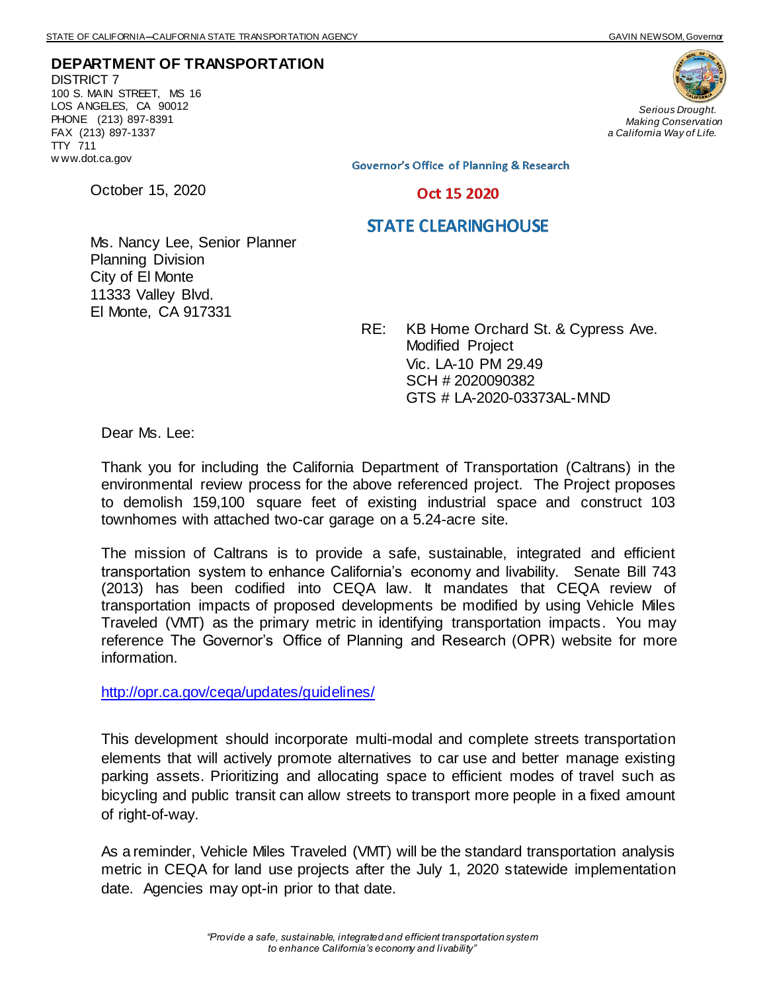**DEPARTMENT OF TRANSPORTATION** DISTRICT 7 100 S. MAIN STREET, MS 16 LOS ANGELES, CA 90012 PHONE (213) 897-8391 FAX (213) 897-1337 TTY 711 w ww.dot.ca.gov

October 15, 2020



*Serious Drought. Making Conservation a California Way of Life.*

**Governor's Office of Planning & Research** 

Oct 15 2020

## **STATE CLEARINGHOUSE**

Ms. Nancy Lee, Senior Planner Planning Division City of El Monte 11333 Valley Blvd. El Monte, CA 917331

> RE: KB Home Orchard St. & Cypress Ave. Modified Project Vic. LA-10 PM 29.49 SCH # 2020090382 GTS # LA-2020-03373AL-MND

Dear Ms. Lee:

Thank you for including the California Department of Transportation (Caltrans) in the environmental review process for the above referenced project. The Project proposes to demolish 159,100 square feet of existing industrial space and construct 103 townhomes with attached two-car garage on a 5.24-acre site.

The mission of Caltrans is to provide a safe, sustainable, integrated and efficient transportation system to enhance California's economy and livability. Senate Bill 743 (2013) has been codified into CEQA law. It mandates that CEQA review of transportation impacts of proposed developments be modified by using Vehicle Miles Traveled (VMT) as the primary metric in identifying transportation impacts. You may reference The Governor's Office of Planning and Research (OPR) website for more information.

<http://opr.ca.gov/ceqa/updates/guidelines/>

This development should incorporate multi-modal and complete streets transportation elements that will actively promote alternatives to car use and better manage existing parking assets. Prioritizing and allocating space to efficient modes of travel such as bicycling and public transit can allow streets to transport more people in a fixed amount of right-of-way.

As a reminder, Vehicle Miles Traveled (VMT) will be the standard transportation analysis metric in CEQA for land use projects after the July 1, 2020 statewide implementation date. Agencies may opt-in prior to that date.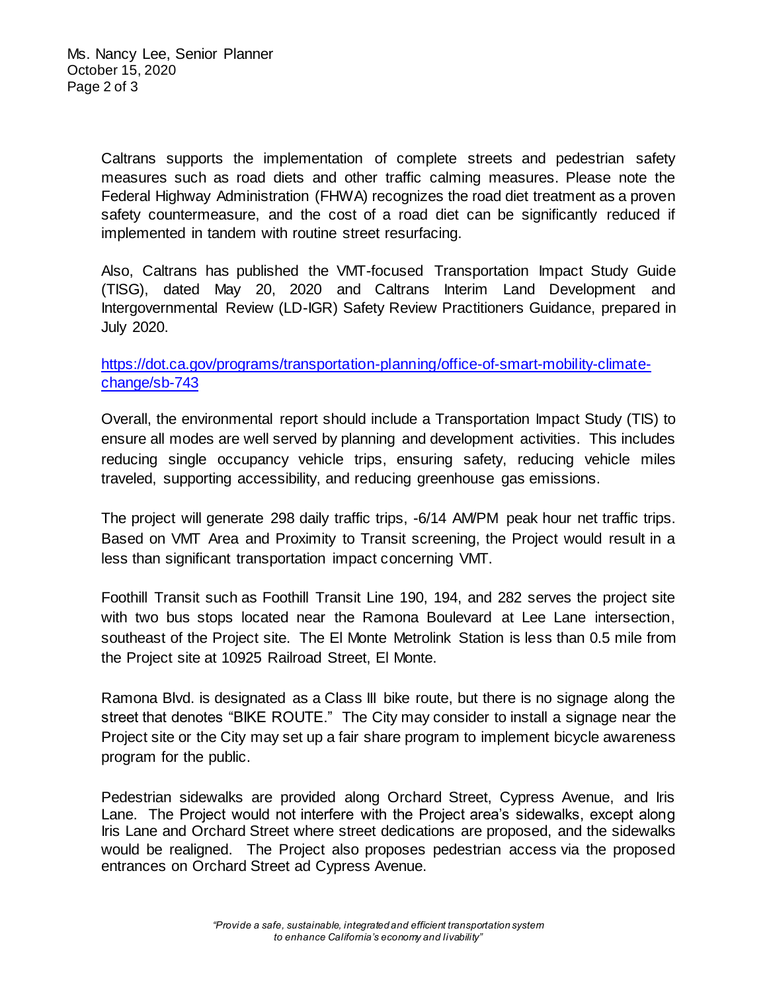Caltrans supports the implementation of complete streets and pedestrian safety measures such as road diets and other traffic calming measures. Please note the Federal Highway Administration (FHWA) recognizes the road diet treatment as a proven safety countermeasure, and the cost of a road diet can be significantly reduced if implemented in tandem with routine street resurfacing.

Also, Caltrans has published the VMT-focused Transportation Impact Study Guide (TISG), dated May 20, 2020 and Caltrans Interim Land Development and Intergovernmental Review (LD-IGR) Safety Review Practitioners Guidance, prepared in July 2020.

## [https://dot.ca.gov/programs/transportation-planning/office-of-smart-mobility-climate](https://dot.ca.gov/programs/transportation-planning/office-of-smart-mobility-climate-change/sb-743)[change/sb-743](https://dot.ca.gov/programs/transportation-planning/office-of-smart-mobility-climate-change/sb-743)

Overall, the environmental report should include a Transportation Impact Study (TIS) to ensure all modes are well served by planning and development activities. This includes reducing single occupancy vehicle trips, ensuring safety, reducing vehicle miles traveled, supporting accessibility, and reducing greenhouse gas emissions.

The project will generate 298 daily traffic trips, -6/14 AM/PM peak hour net traffic trips. Based on VMT Area and Proximity to Transit screening, the Project would result in a less than significant transportation impact concerning VMT.

Foothill Transit such as Foothill Transit Line 190, 194, and 282 serves the project site with two bus stops located near the Ramona Boulevard at Lee Lane intersection, southeast of the Project site. The El Monte Metrolink Station is less than 0.5 mile from the Project site at 10925 Railroad Street, El Monte.

Ramona Blvd. is designated as a Class III bike route, but there is no signage along the street that denotes "BIKE ROUTE." The City may consider to install a signage near the Project site or the City may set up a fair share program to implement bicycle awareness program for the public.

Pedestrian sidewalks are provided along Orchard Street, Cypress Avenue, and Iris Lane. The Project would not interfere with the Project area's sidewalks, except along Iris Lane and Orchard Street where street dedications are proposed, and the sidewalks would be realigned. The Project also proposes pedestrian access via the proposed entrances on Orchard Street ad Cypress Avenue.